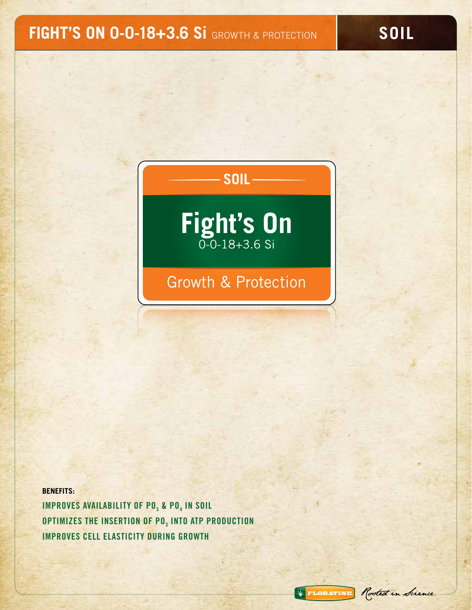# **FIGHT'S ON 0-0-18+3.6 Si** GROWTH & PROTECTION

**SOIL**

\* FLORATINE Rooted in Science.

## **SOIL**



## Growth & Protection

**BENEFITS: IMPROVES AVAILABILITY OF PO<sub>3</sub> & PO<sub>4</sub> IN SOIL** OPTIMIZES THE INSERTION OF PO<sub>3</sub> INTO ATP PRODUCTION IMPROVES CELL ELASTICITY DURING GROWTH